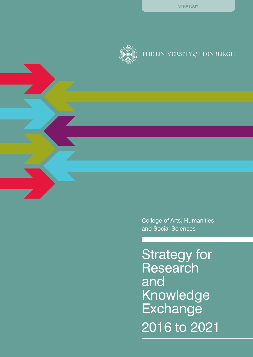

# THE UNIVERSITY of EDINBURGH

College of Arts, Humanities and Social Sciences

Strategy for **Research** and Knowledge **Exchange** 2016 to 2021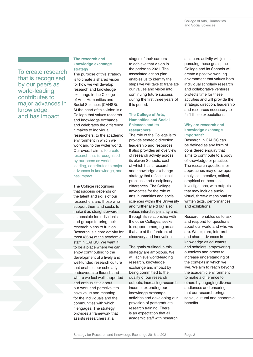To create research that is recognised by our peers as world-leading, contributes to major advances in knowledge, and has impact

#### **The research and knowledge exchange strategy**

The purpose of this strategy is to create a shared vision for how we will develop research and knowledge exchange in the College of Arts, Humanities and Social Sciences (CAHSS). At the heart of this vision is a College that values research and knowledge exchange and celebrates the difference it makes to individual researchers, to the academic environment in which we work and to the wider world. Our overall aim is to create research that is recognised by our peers as world leading, contributes to major advances in knowledge, and has impact.

The College recognises that success depends on the talent and skills of our researchers and those who support them and seeks to make it as straightforward as possible for individuals and groups to bring their research plans to fruition. Research is a core activity for most (86%) of the academic staff in CAHSS. We want it to be a place where we can enjoy contributing to the development of a lively and well-funded research culture that enables our scholarly endeavours to flourish and where we feel well supported and enthusiastic about our work and perceive it to have value and meaning for the individuals and the communities with which it engages. The strategy provides a framework that assists researchers at all

stages of their careers to achieve that vision in the period to 2021. The associated action plan enables us to identify the steps we will take to translate our values and vision into continuing future success during the first three years of this period.

#### **The College of Arts, Humanities and Social Sciences and its researchers**

The role of the College is to provide strategic direction, leadership and resources. It also provides an overview of research activity across its eleven Schools, each of which has a research and knowledge exchange strategy that reflects local practices and disciplinary differences. The College advocates for the role of arts, humanities and social sciences within the University and further afield but also values interdisciplinarity and, through its relationship with the other Colleges, seeks to support emerging areas that are at the forefront of discovery and innovation.

The goals outlined in this strategy are ambitious. We will achieve world-leading research, knowledge exchange and impact by being committed to the quality of our research outputs, increasing research income, extending our knowledge exchange activities and developing our provision of postgraduate research training. There is an expectation that all academic staff with research

as a core activity will join in pursuing these goals; the College and its Schools will create a positive working environment that values both individual scholarly research and collaborative ventures, protects time for these activities and will provide the strategic direction, leadership and resources necessary to fulfil these expectations.

#### **Why are research and knowledge exchange important?**

Research in CAHSS can be defined as any form of considered enquiry that aims to contribute to a body of knowledge or practice. The research questions or approaches may draw upon analytical, creative, critical, empirical or theoretical investigations, with outputs that may include audiovisual, three-dimensional or written texts, performances and exhibitions.

Research enables us to ask, and respond to, questions about our world and who we are. We explore, interpret and share advances in knowledge as educators and scholars, empowering ourselves and others to increase understanding of the contexts in which we live. We aim to reach beyond the academic environment to make a difference to others by engaging diverse audiences and ensuring that our research brings social, cultural and economic benefits.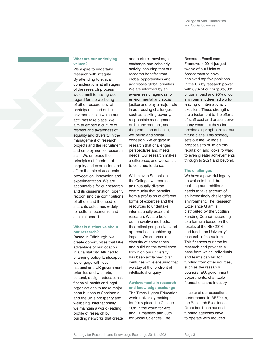#### **What are our underlying values?**

We aspire to undertake research with integrity. By attending to ethical considerations at all stages of the research process, we commit to having due regard for the wellbeing of other researchers, of participants, and of the environments in which our activities take place. We aim to embed a culture of respect and awareness of equality and diversity in the management of research projects and the recruitment and employment of research staff. We embrace the principles of freedom of enquiry and expression and affirm the role of academic provocation, innovation and experimentation. We are accountable for our research and its dissemination, openly recognising the contributions of others and the need to share its outcomes widely for cultural, economic and societal benefit.

#### **What is distinctive about our research?**

Based in Edinburgh, we create opportunities that take advantage of our location in a capital city. Attuned to changing policy landscapes, we engage with local, national and UK government priorities and with arts, cultural, design, educational, financial, health and legal organisations to make major contributions to Scotland's and the UK's prosperity and wellbeing. Internationally, we maintain a world-leading profile of research by building networks that create

and nurture knowledge exchange and scholarly activity, ensuring that our research benefits from global opportunities and addresses global priorities. We are informed by an awareness of agendas for environmental and social justice and play a major role in addressing challenges such as tackling poverty, responsible management of the environment, and the promotion of health, wellbeing and social cohesion. We engage in research that challenges perspectives and meets needs. Our research makes a difference, and we want it to continue to do so.

With eleven Schools in the College, we represent an unusually diverse community that benefits from a profusion of different forms of expertise and the resources to undertake internationally excellent research. We are bold in our innovative methods, theoretical perspectives and approaches to achieving impact. We embrace a diversity of approaches and build on the excellence for which our university has been acclaimed over centuries while ensuring that we stay at the forefront of intellectual enquiry.

#### **Achievements in research and knowledge exchange**

The Times Higher Education world university rankings for 2016 place the College 16th in the world for Arts and Humanities and 30th for Social Sciences. The

Research Excellence Framework 2014 judged twelve of our Units of Assessment to have achieved top five positions in the UK by research power, with 69% of our outputs, 89% of our impact and 95% of our environment deemed worldleading or internationally excellent. These strengths are a testament to the efforts of staff past and present over many years but they also provide a springboard for our future plans. This strategy sets out the College's proposals to build on this reputation and looks forward to even greater achievements through to 2021 and beyond.

#### **The challenges**

We have a powerful legacy on which to build, but realising our ambitions needs to take account of an increasingly challenging environment. The Research Excellence Grant is distributed by the Scottish Funding Council according to a formula based on the results of the REF2014 and funds the University's research infrastructure. This finances our time for research and provides a base from which individuals and teams can bid for funding from other sources, such as the research councils, EU, government departments, charitable foundations and industry.

In spite of our exceptional performance in REF2014, the Research Excellence Grant has been cut and funding agencies have to operate with reduced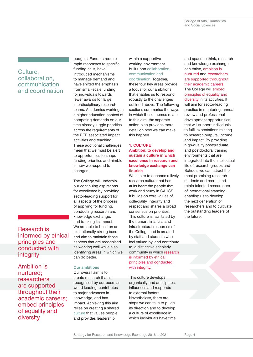## Culture, collaboration, communication and coordination

Research is informed by ethical principles and conducted with integrity

Ambition is nurtured; researchers are supported throughout their academic careers; embed principles of equality and diversity

budgets. Funders require rapid responses to specific funding calls, have introduced mechanisms to manage demand and have shifted the emphasis from small-scale funding for individuals towards fewer awards for large interdisciplinary research teams. Academics working in a higher education context of competing demands on our time already juggle priorities across the requirements of the REF, associated impact activities and teaching. These additional challenges mean that we must be alert to opportunities to shape funding priorities and nimble in how we respond to changes.

The College will underpin our continuing aspirations for excellence by providing sector-leading support for all aspects of the process of applying for funding, conducting research and knowledge exchange, and tracking its impact. We are able to build on an exceptionally strong base and aim to maintain those aspects that are recognised as working well while also identifying areas in which we can do better.

### **Our ambitions**

Our overall aim is to create research that is recognised by our peers as world leading, contributes to major advances in knowledge, and has impact. Achieving this aim relies on creating a shared culture that values people and provides leadership

within a supportive working environment built upon collaboration, communication and coordination. Together, these four key areas provide a focus for our ambitions that enables us to respond robustly to the challenges outlined above. The following sections summarise the ways in which these themes relate to this aim; the separate action plan provides more detail on how we can make this happen.

#### **1. CULTURE Ambition: to develop and sustain a culture in which excellence in research and knowledge exchange can flourish**

We aspire to enhance a lively research culture that has at its heart the people that work and study in CAHSS. It builds on core values of collegiality, integrity and respect and shares a broad consensus on priorities. This culture is facilitated by the human, financial and infrastructural resources of the College and is created by staff and students who feel valued by, and contribute to, a distinctive scholarly community in which research is informed by ethical principles and conducted with integrity.

This culture develops organically and anticipates, influences and responds to external factors. Nevertheless, there are steps we can take to guide its direction and to develop a culture of excellence in which individuals have time and space to think, research and knowledge exchange can thrive, ambition is nurtured and researchers are supported throughout their academic careers. The College will embed principles of equality and diversity in its activities. It will aim for sector-leading practice in mentoring, annual review and professional development opportunities that will support individuals to fulfil expectations relating to research outputs, income and impact. By providing high-quality postgraduate and postdoctoral training environments that are integrated into the intellectual life of research groups and Schools we can attract the most promising research students and recruit and retain talented researchers of international standing, enabling us to develop the next generation of researchers and to cultivate the outstanding leaders of the future.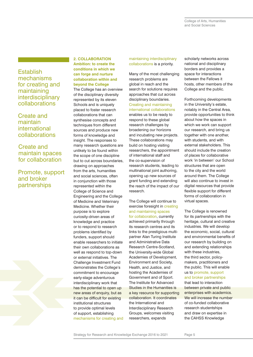College of Arts, Humanities and Social Sciences

**Establish** mechanisms for creating and maintaining interdisciplinary collaborations

Create and maintain international collaborations

Create and maintain spaces for collaboration

Promote, support and broker partnerships

**2. COLLABORATION Ambition: to create the conditions in which we can forge and nurture collaboration within and beyond the College** The College has an overview of the disciplinary diversity represented by its eleven Schools and is uniquely placed to foster research collaborations that can synthesise concepts and techniques from different sources and produce new forms of knowledge and insight. The responses to many research questions are unlikely to be found within the scope of one discipline but to cut across boundaries, drawing on approaches from the arts, humanities and social sciences, often in conjunction with those represented within the College of Science and Engineering and the College of Medicine and Veterinary Medicine. Whether their purpose is to explore curiosity-driven areas of knowledge and practice or to respond to research problems identified by funders, support should enable researchers to initiate their own collaborations as well as respond to top-down or external initiatives. The Challenge Investment Fund demonstrates the College's commitment to encourage early-stage adventurous

interdisciplinary work that has the potential to open up new areas of enquiry, but as it can be difficult for existing institutional structures to provide optimal levels of support, establishing mechanisms for creating and maintaining interdisciplinary collaborations is a priority.

Many of the most challenging research problems are global in reach and the search for solutions requires approaches that cut across disciplinary boundaries. Creating and maintaining international collaborations enables us to be ready to respond to these global research challenges by broadening our horizons and incubating new projects. These collaborations may build on hosting visiting researchers, the appointment of international staff and the co-supervision of research students, leading to multinational joint authoring, opening up new sources of grant funding and extending

the reach of the impact of our

research.

The College will continue to exercise foresight in creating and maintaining spaces for collaboration, currently achieved primarily through its research centres and its links to the prestigious multipartner Alan Turing Institute and Administrative Data Research Centre-Scotland, the University-wide Global Academies of Development, Environment and Society, Health, and Justice, and hosting the Academies of Government and of Sport. The Institute for Advanced Studies in the Humanities is a key resource for supporting collaboration. It coordinates the International and Interdisciplinary Research Groups, welcomes visiting researchers, expands

scholarly networks across national and disciplinary borders and provides a space for interactions between the Fellows it hosts, other members of the College and the public.

Forthcoming developments in the University's estate, notably in the Central Area, provide opportunities to think about how the spaces in which we work can support our research, and bring us together with one another, with students, and with external stakeholders. This should include the creation of places for collaborative work 'in between' our School structures that are open to the city and the world around them. The College will also continue to invest in digital resources that provide flexible support for different forms of collaboration in virtual spaces.

The College is renowned for its partnerships with the heritage, cultural and creative industries. We will develop the economic, social, cultural and environmental benefits of our research by building on and extending relationships with these industries, the third sector, policymakers, practitioners and the public. This will enable us to promote, support and broker partnerships that lead to interaction

between private and public enterprises with academics. We will increase the number of co-funded collaborative research studentships and draw on expertise in the CAHSS Knowledge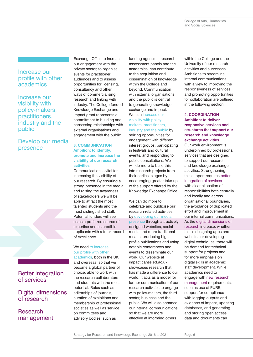College of Arts, Humanities and Social Sciences

### Increase our profile with other academics

Increase our visibility with policy-makers, practitioners, industry and the public

# Develop our media presence



Better integration of services

Digital dimensions of research

Research management Exchange Office to Increase our engagement with the private sector, to organise events for practitioner audiences and to assess opportunities for licensing, consultancy and other ways of commercialising research and linking with industry. The College-funded Knowledge Exchange and Impact grant represents a commitment to building and harnessing relationships with external organisations and engagement with the public.

#### **3. COMMUNICATION Ambition: to identify, promote and increase the visibility of our research activities**

Communication is vital for increasing the visibility of our research. By ensuring a strong presence in the media and raising the awareness of stakeholders we will be able to attract the most talented students and the most distinguished staff. Potential funders will see us as a preferred source of expertise and as credible applicants with a track record of excellence.

### We need to increase our profile with other

academics, both in the UK and overseas, so that we become a global partner of choice, able to work with the research collaborators and students with the most potential. Roles such as editorships of journals, curation of exhibitions and membership of professional societies as well as service on committees and advisory bodies, such as

funding agencies, research assessment panels and the academies, can contribute to the acquisition and dissemination of knowledge within the College and beyond. Communication with external organisations and the public is central to generating knowledge exchange and impact. We can increase our visibility with policymakers, practitioners, industry and the public by seizing opportunities for engagement with different interest groups, participating in festivals and cultural events, and responding to public consultations. We will do more to build this into research projects from

their earliest stages by encouraging greater take-up of the support offered by the Knowledge Exchange Office.

We can do more to celebrate and publicise our research-related activities by developing our media

presence through attractively designed websites, social media and more traditional means, producing highprofile publications and using notable conferences and events to disseminate our work. Our website at impact.cahss.ed.ac.uk showcases research that has made a difference to our world. It acts as a model for further communication of our research activities to engage with policy-makers, the third sector, business and the public. We will also enhance our internal communications so that we are more effective at informing others

within the College and the University of our research activities and successes. Ambitions to streamline internal communications with a view to improving the responsiveness of services and promoting opportunities for collaboration are outlined in the following section.

#### **4. COORDINATION Ambition: to deliver responsive services and structures that support our research and knowledge exchange activities**

Our work environment is underpinned by professional services that are designed to support our research and knowledge exchange activities. Strengthening this support requires better integration of services

with clear allocation of responsibilities both centrally and locally and across organisational boundaries, the avoidance of duplicated effort and improvement in our internal communications. As the digital dimensions of research increase, whether this is designing apps and websites or developing digital techniques, there will be demand for technical support for projects and for more emphasis on digital skills in academic staff development. While academics need to engage with new research management requirements, such as use of PURE, support for compliance with logging outputs and evidence of impact, updating databases, and generating and storing open access data and documents can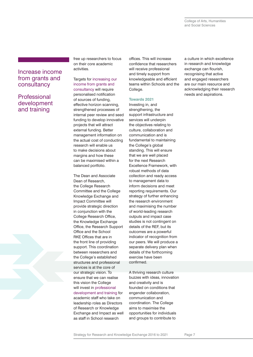College of Arts, Humanities and Social Sciences

### Increase income from grants and consultancy

# Professional development and training

free up researchers to focus on their core academic activities.

Targets for increasing our income from grants and consultancy will require personalised notification of sources of funding, effective horizon scanning, strengthened processes of internal peer review and seed funding to develop innovative projects that will attract external funding. Better management information on the actual cost of conducting research will enable us to make decisions about margins and how these can be maximised within a balanced portfolio.

The Dean and Associate Dean of Research, the College Research Committee and the College Knowledge Exchange and Impact Committee will provide strategic direction in conjunction with the College Research Office, the Knowledge Exchange Office, the Research Support Office and the School RKE Offices that are in the front line of providing support. This coordination between researchers and the College's established structures and professional services is at the core of our strategic vision. To ensure that we can realise this vision the College will invest in professional development and training for academic staff who take on leadership roles as Directors of Research or Knowledge Exchange and Impact as well as staff in School research

offices. This will increase confidence that researchers will receive professional and timely support from knowledgeable and efficient teams within Schools and the College.

#### **Towards 2021**

Investing in, and strengthening, the support infrastructure and services will underpin the objectives relating to culture, collaboration and communication and is fundamental to maintaining the College's global standing. This will ensure that we are well placed for the next Research Excellence Framework, with robust methods of data collection and ready access to management data to inform decisions and meet reporting requirements. Our strategy of further enhancing the research environment and maximising the number of world-leading research outputs and impact case studies is not contingent on details of the REF, but its outcomes are a powerful indicator of recognition from our peers. We will produce a separate delivery plan when details of the forthcoming exercise have been confirmed.

A thriving research culture buzzes with ideas, innovation and creativity and is founded on conditions that engender collaboration, communication and coordination. The College aims to maximise the opportunities for individuals and groups to contribute to

a culture in which excellence in research and knowledge exchange can flourish, recognising that active and engaged researchers are our main resource and acknowledging their research needs and aspirations.